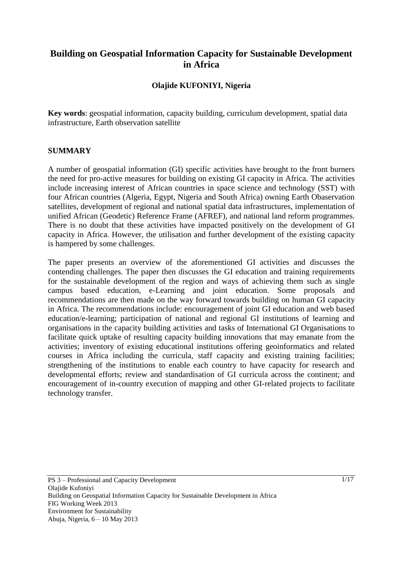# **Building on Geospatial Information Capacity for Sustainable Development in Africa**

### **Olajide KUFONIYI, Nigeria**

**Key words**: geospatial information, capacity building, curriculum development, spatial data infrastructure, Earth observation satellite

#### **SUMMARY**

A number of geospatial information (GI) specific activities have brought to the front burners the need for pro-active measures for building on existing GI capacity in Africa. The activities include increasing interest of African countries in space science and technology (SST) with four African countries (Algeria, Egypt, Nigeria and South Africa) owning Earth Obaservation satellites, development of regional and national spatial data infrastructures, implementation of unified African (Geodetic) Reference Frame (AFREF), and national land reform programmes. There is no doubt that these activities have impacted positively on the development of GI capacity in Africa. However, the utilisation and further development of the existing capacity is hampered by some challenges.

The paper presents an overview of the aforementioned GI activities and discusses the contending challenges. The paper then discusses the GI education and training requirements for the sustainable development of the region and ways of achieving them such as single campus based education, e-Learning and joint education. Some proposals and recommendations are then made on the way forward towards building on human GI capacity in Africa. The recommendations include: encouragement of joint GI education and web based education/e-learning; participation of national and regional GI institutions of learning and organisations in the capacity building activities and tasks of International GI Organisations to facilitate quick uptake of resulting capacity building innovations that may emanate from the activities; inventory of existing educational institutions offering geoinformatics and related courses in Africa including the curricula, staff capacity and existing training facilities; strengthening of the institutions to enable each country to have capacity for research and developmental efforts; review and standardisation of GI curricula across the continent; and encouragement of in-country execution of mapping and other GI-related projects to facilitate technology transfer.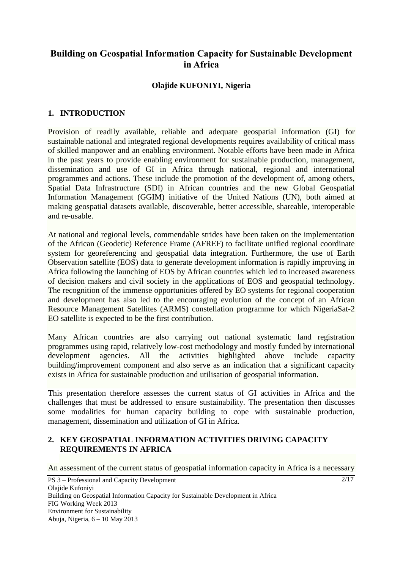# **Building on Geospatial Information Capacity for Sustainable Development in Africa**

#### **Olajide KUFONIYI, Nigeria**

#### **1. INTRODUCTION**

Provision of readily available, reliable and adequate geospatial information (GI) for sustainable national and integrated regional developments requires availability of critical mass of skilled manpower and an enabling environment. Notable efforts have been made in Africa in the past years to provide enabling environment for sustainable production, management, dissemination and use of GI in Africa through national, regional and international programmes and actions. These include the promotion of the development of, among others, Spatial Data Infrastructure (SDI) in African countries and the new Global Geospatial Information Management (GGIM) initiative of the United Nations (UN), both aimed at making geospatial datasets available, discoverable, better accessible, shareable, interoperable and re-usable.

At national and regional levels, commendable strides have been taken on the implementation of the African (Geodetic) Reference Frame (AFREF) to facilitate unified regional coordinate system for georeferencing and geospatial data integration. Furthermore, the use of Earth Observation satellite (EOS) data to generate development information is rapidly improving in Africa following the launching of EOS by African countries which led to increased awareness of decision makers and civil society in the applications of EOS and geospatial technology. The recognition of the immense opportunities offered by EO systems for regional cooperation and development has also led to the encouraging evolution of the concept of an African Resource Management Satellites (ARMS) constellation programme for which NigeriaSat-2 EO satellite is expected to be the first contribution.

Many African countries are also carrying out national systematic land registration programmes using rapid, relatively low-cost methodology and mostly funded by international development agencies. All the activities highlighted above include capacity building/improvement component and also serve as an indication that a significant capacity exists in Africa for sustainable production and utilisation of geospatial information.

This presentation therefore assesses the current status of GI activities in Africa and the challenges that must be addressed to ensure sustainability. The presentation then discusses some modalities for human capacity building to cope with sustainable production, management, dissemination and utilization of GI in Africa.

#### **2. KEY GEOSPATIAL INFORMATION ACTIVITIES DRIVING CAPACITY REQUIREMENTS IN AFRICA**

An assessment of the current status of geospatial information capacity in Africa is a necessary

2/17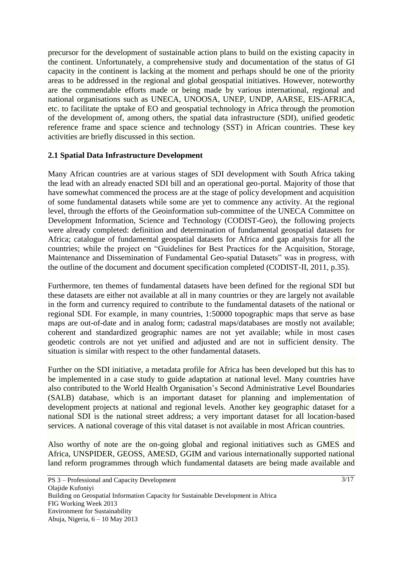precursor for the development of sustainable action plans to build on the existing capacity in the continent. Unfortunately, a comprehensive study and documentation of the status of GI capacity in the continent is lacking at the moment and perhaps should be one of the priority areas to be addressed in the regional and global geospatial initiatives. However, noteworthy are the commendable efforts made or being made by various international, regional and national organisations such as UNECA, UNOOSA, UNEP, UNDP, AARSE, EIS-AFRICA, etc. to facilitate the uptake of EO and geospatial technology in Africa through the promotion of the development of, among others, the spatial data infrastructure (SDI), unified geodetic reference frame and space science and technology (SST) in African countries. These key activities are briefly discussed in this section.

### **2.1 Spatial Data Infrastructure Development**

Many African countries are at various stages of SDI development with South Africa taking the lead with an already enacted SDI bill and an operational geo-portal. Majority of those that have somewhat commenced the process are at the stage of policy development and acquisition of some fundamental datasets while some are yet to commence any activity. At the regional level, through the efforts of the Geoinformation sub-committee of the UNECA Committee on Development Information, Science and Technology (CODIST-Geo), the following projects were already completed: definition and determination of fundamental geospatial datasets for Africa; catalogue of fundamental geospatial datasets for Africa and gap analysis for all the countries; while the project on "Guidelines for Best Practices for the Acquisition, Storage, Maintenance and Dissemination of Fundamental Geo-spatial Datasets" was in progress, with the outline of the document and document specification completed (CODIST-II, 2011, p.35).

Furthermore, ten themes of fundamental datasets have been defined for the regional SDI but these datasets are either not available at all in many countries or they are largely not available in the form and currency required to contribute to the fundamental datasets of the national or regional SDI. For example, in many countries, 1:50000 topographic maps that serve as base maps are out-of-date and in analog form; cadastral maps/databases are mostly not available; coherent and standardized geographic names are not yet available; while in most cases geodetic controls are not yet unified and adjusted and are not in sufficient density. The situation is similar with respect to the other fundamental datasets.

Further on the SDI initiative, a metadata profile for Africa has been developed but this has to be implemented in a case study to guide adaptation at national level. Many countries have also contributed to the World Health Organisation's Second Administrative Level Boundaries (SALB) database, which is an important dataset for planning and implementation of development projects at national and regional levels. Another key geographic dataset for a national SDI is the national street address; a very important dataset for all location-based services. A national coverage of this vital dataset is not available in most African countries.

Also worthy of note are the on-going global and regional initiatives such as GMES and Africa, UNSPIDER, GEOSS, AMESD, GGIM and various internationally supported national land reform programmes through which fundamental datasets are being made available and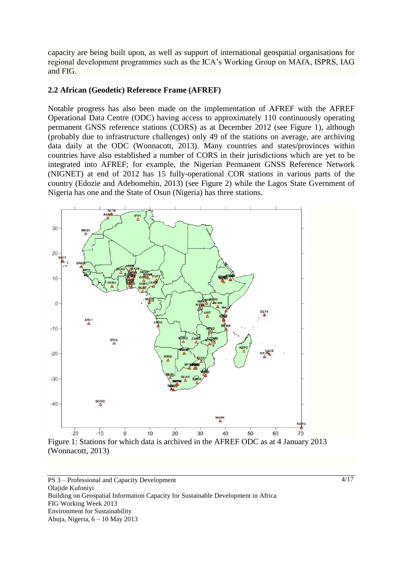capacity are being built upon, as well as support of international geospatial organisations for regional development programmes such as the ICA's Working Group on MAfA, ISPRS, IAG and FIG.

#### **2.2 African (Geodetic) Reference Frame (AFREF)**

Notable progress has also been made on the implementation of AFREF with the AFREF Operational Data Centre (ODC) having access to approximately 110 continuously operating permanent GNSS reference stations (CORS) as at December 2012 (see Figure 1), although (probably due to infrastructure challenges) only 49 of the stations on average, are archiving data daily at the ODC (Wonnacott, 2013). Many countries and states/provinces within countries have also established a number of CORS in their jurisdictions which are yet to be integrated into AFREF; for example, the Nigerian Permanent GNSS Reference Network (NIGNET) at end of 2012 has 15 fully-operational COR stations in various parts of the country (Edozie and Adebomehin, 2013) (see Figure 2) while the Lagos State Gvernment of Nigeria has one and the State of Osun (Nigeria) has three stations.



PS 3 – Professional and Capacity Development Olajide Kufoniyi Building on Geospatial Information Capacity for Sustainable Development in Africa FIG Working Week 2013 Environment for Sustainability Abuja, Nigeria, 6 – 10 May 2013

4/17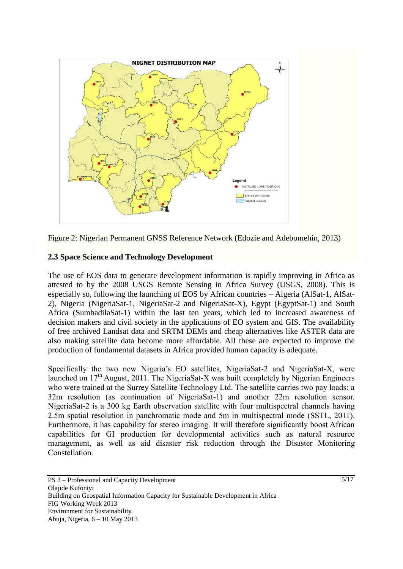

Figure 2: Nigerian Permanent GNSS Reference Network (Edozie and Adebomehin, 2013)

### **2.3 Space Science and Technology Development**

The use of EOS data to generate development information is rapidly improving in Africa as attested to by the 2008 USGS Remote Sensing in Africa Survey (USGS, 2008). This is especially so, following the launching of EOS by African countries – Algeria (AlSat-1, AlSat-2), Nigeria (NigeriaSat-1, NigeriaSat-2 and NigeriaSat-X), Egypt (EgyptSat-1) and South Africa (SumbadilaSat-1) within the last ten years, which led to increased awareness of decision makers and civil society in the applications of EO system and GIS. The availability of free archived Landsat data and SRTM DEMs and cheap alternatives like ASTER data are also making satellite data become more affordable. All these are expected to improve the production of fundamental datasets in Africa provided human capacity is adequate.

Specifically the two new Nigeria's EO satellites, NigeriaSat-2 and NigeriaSat-X, were launched on 17<sup>th</sup> August, 2011. The NigeriaSat-X was built completely by Nigerian Engineers who were trained at the Surrey Satellite Technology Ltd. The satellite carries two pay loads: a 32m resolution (as continuation of NigeriaSat-1) and another 22m resolution sensor. NigeriaSat-2 is a 300 kg Earth observation satellite with four multispectral channels having 2.5m spatial resolution in panchromatic mode and 5m in multispectral mode (SSTL, 2011). Furthermore, it has capability for stereo imaging. It will therefore significantly boost African capabilities for GI production for developmental activities such as natural resource management, as well as aid disaster risk reduction through the Disaster Monitoring Constellation.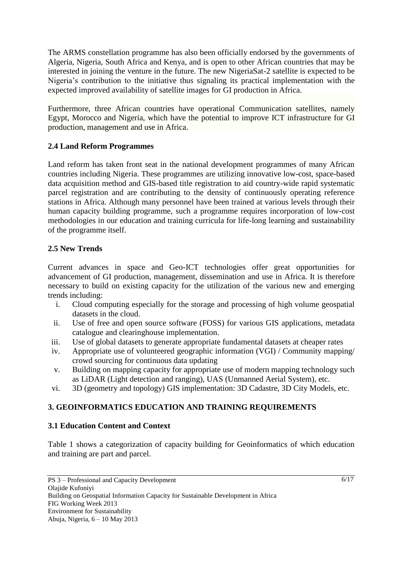The ARMS constellation programme has also been officially endorsed by the governments of Algeria, Nigeria, South Africa and Kenya, and is open to other African countries that may be interested in joining the venture in the future. The new NigeriaSat-2 satellite is expected to be Nigeria's contribution to the initiative thus signaling its practical implementation with the expected improved availability of satellite images for GI production in Africa.

Furthermore, three African countries have operational Communication satellites, namely Egypt, Morocco and Nigeria, which have the potential to improve ICT infrastructure for GI production, management and use in Africa.

## **2.4 Land Reform Programmes**

Land reform has taken front seat in the national development programmes of many African countries including Nigeria. These programmes are utilizing innovative low-cost, space-based data acquisition method and GIS-based title registration to aid country-wide rapid systematic parcel registration and are contributing to the density of continuously operating reference stations in Africa. Although many personnel have been trained at various levels through their human capacity building programme, such a programme requires incorporation of low-cost methodologies in our education and training curricula for life-long learning and sustainability of the programme itself.

## **2.5 New Trends**

Current advances in space and Geo-ICT technologies offer great opportunities for advancement of GI production, management, dissemination and use in Africa. It is therefore necessary to build on existing capacity for the utilization of the various new and emerging trends including:

- i. Cloud computing especially for the storage and processing of high volume geospatial datasets in the cloud.
- ii. Use of free and open source software (FOSS) for various GIS applications, metadata catalogue and clearinghouse implementation.
- iii. Use of global datasets to generate appropriate fundamental datasets at cheaper rates
- iv. Appropriate use of volunteered geographic information (VGI) / Community mapping/ crowd sourcing for continuous data updating
- v. Building on mapping capacity for appropriate use of modern mapping technology such as LiDAR (Light detection and ranging), UAS (Unmanned Aerial System), etc.
- vi. 3D (geometry and topology) GIS implementation: 3D Cadastre, 3D City Models, etc.

# **3. GEOINFORMATICS EDUCATION AND TRAINING REQUIREMENTS**

# **3.1 Education Content and Context**

Table 1 shows a categorization of capacity building for Geoinformatics of which education and training are part and parcel.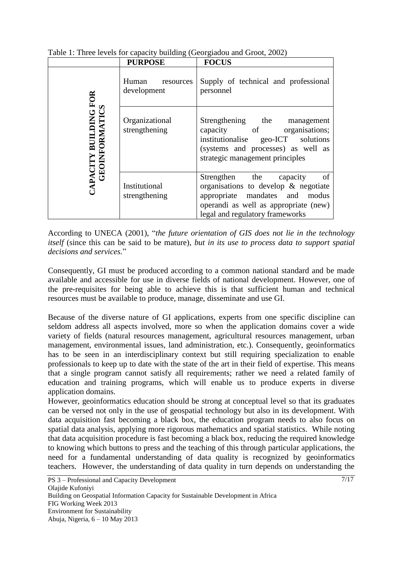|                                      | <b>PURPOSE</b>                    | <b>FOCUS</b>                                                                                                                                                                              |
|--------------------------------------|-----------------------------------|-------------------------------------------------------------------------------------------------------------------------------------------------------------------------------------------|
| APACITY BUILDING F<br>GEOINFORMATICS | Human<br>resources<br>development | Supply of technical and professional<br>personnel                                                                                                                                         |
|                                      | Organizational<br>strengthening   | Strengthening the<br>management<br>capacity of organisations;<br>institutionalise geo-ICT solutions<br>(systems and processes) as well as<br>strategic management principles              |
|                                      | Institutional<br>strengthening    | of<br>Strengthen the<br>capacity<br>organisations to develop $\&$ negotiate<br>appropriate mandates and modus<br>operandi as well as appropriate (new)<br>legal and regulatory frameworks |

Table 1: Three levels for capacity building (Georgiadou and Groot, 2002)

According to UNECA (2001), "*the future orientation of GIS does not lie in the technology itself* (since this can be said to be mature)*, but in its use to process data to support spatial decisions and services.*"

Consequently, GI must be produced according to a common national standard and be made available and accessible for use in diverse fields of national development. However, one of the pre-requisites for being able to achieve this is that sufficient human and technical resources must be available to produce, manage, disseminate and use GI.

Because of the diverse nature of GI applications, experts from one specific discipline can seldom address all aspects involved, more so when the application domains cover a wide variety of fields (natural resources management, agricultural resources management, urban management, environmental issues, land administration, etc.). Consequently, geoinformatics has to be seen in an interdisciplinary context but still requiring specialization to enable professionals to keep up to date with the state of the art in their field of expertise. This means that a single program cannot satisfy all requirements; rather we need a related family of education and training programs, which will enable us to produce experts in diverse application domains.

However, geoinformatics education should be strong at conceptual level so that its graduates can be versed not only in the use of geospatial technology but also in its development. With data acquisition fast becoming a black box, the education program needs to also focus on spatial data analysis, applying more rigorous mathematics and spatial statistics. While noting that data acquisition procedure is fast becoming a black box, reducing the required knowledge to knowing which buttons to press and the teaching of this through particular applications, the need for a fundamental understanding of data quality is recognized by geoinformatics teachers. However, the understanding of data quality in turn depends on understanding the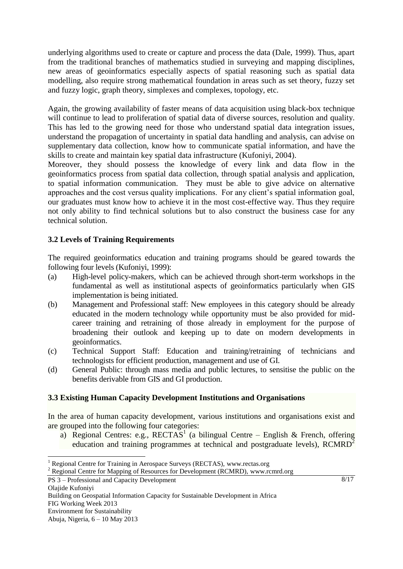underlying algorithms used to create or capture and process the data (Dale, 1999). Thus, apart from the traditional branches of mathematics studied in surveying and mapping disciplines, new areas of geoinformatics especially aspects of spatial reasoning such as spatial data modelling, also require strong mathematical foundation in areas such as set theory, fuzzy set and fuzzy logic, graph theory, simplexes and complexes, topology, etc.

Again, the growing availability of faster means of data acquisition using black-box technique will continue to lead to proliferation of spatial data of diverse sources, resolution and quality. This has led to the growing need for those who understand spatial data integration issues, understand the propagation of uncertainty in spatial data handling and analysis, can advise on supplementary data collection, know how to communicate spatial information, and have the skills to create and maintain key spatial data infrastructure (Kufoniyi, 2004).

Moreover, they should possess the knowledge of every link and data flow in the geoinformatics process from spatial data collection, through spatial analysis and application, to spatial information communication. They must be able to give advice on alternative approaches and the cost versus quality implications. For any client's spatial information goal, our graduates must know how to achieve it in the most cost-effective way. Thus they require not only ability to find technical solutions but to also construct the business case for any technical solution.

## **3.2 Levels of Training Requirements**

 $\overline{a}$ 

The required geoinformatics education and training programs should be geared towards the following four levels (Kufoniyi, 1999):

- (a) High-level policy-makers, which can be achieved through short-term workshops in the fundamental as well as institutional aspects of geoinformatics particularly when GIS implementation is being initiated.
- (b) Management and Professional staff: New employees in this category should be already educated in the modern technology while opportunity must be also provided for midcareer training and retraining of those already in employment for the purpose of broadening their outlook and keeping up to date on modern developments in geoinformatics.
- (c) Technical Support Staff: Education and training/retraining of technicians and technologists for efficient production, management and use of GI.
- (d) General Public: through mass media and public lectures, to sensitise the public on the benefits derivable from GIS and GI production.

### **3.3 Existing Human Capacity Development Institutions and Organisations**

In the area of human capacity development, various institutions and organisations exist and are grouped into the following four categories:

a) Regional Centres: e.g., RECTAS<sup>1</sup> (a bilingual Centre – English & French, offering education and training programmes at technical and postgraduate levels),  $RCMRD<sup>2</sup>$ 

<sup>&</sup>lt;sup>1</sup> Regional Centre for Training in Aerospace Surveys (RECTAS), www.rectas.org

<sup>&</sup>lt;sup>2</sup> Regional Centre for Mapping of Resources for Development (RCMRD), www.rcmrd.org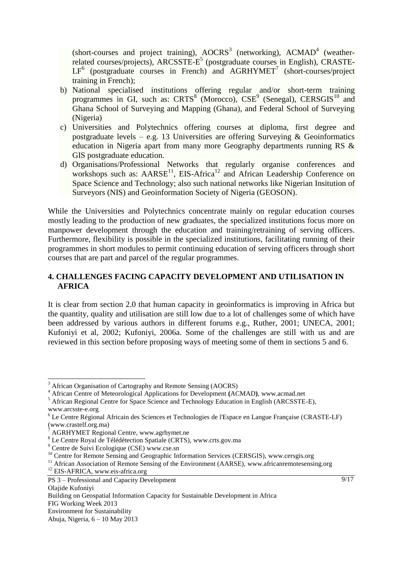(short-courses and project training),  $AOCRS<sup>3</sup>$  (networking),  $ACMAD<sup>4</sup>$  (weatherrelated courses/projects), ARCSSTE-E<sup>5</sup> (postgraduate courses in English), CRASTE- $LF<sup>6</sup>$  (postgraduate courses in French) and AGRHYMET<sup>7</sup> (short-courses/project training in French);

- b) National specialised institutions offering regular and/or short-term training programmes in GI, such as: CRTS<sup>8</sup> (Morocco), CSE<sup>9</sup> (Senegal), CERSGIS<sup>10</sup> and Ghana School of Surveying and Mapping (Ghana), and Federal School of Surveying (Nigeria)
- c) Universities and Polytechnics offering courses at diploma, first degree and postgraduate levels – e.g. 13 Universities are offering Surveying  $\&$  Geoinformatics education in Nigeria apart from many more Geography departments running RS & GIS postgraduate education.
- d) Organisations/Professional Networks that regularly organise conferences and workshops such as:  $AARSE<sup>11</sup>$ , EIS-Africa<sup>12</sup> and African Leadership Conference on Space Science and Technology; also such national networks like Nigerian Insitution of Surveyors (NIS) and Geoinformation Society of Nigeria (GEOSON).

While the Universities and Polytechnics concentrate mainly on regular education courses mostly leading to the production of new graduates, the specialized institutions focus more on manpower development through the education and training/retraining of serving officers. Furthermore, flexibility is possible in the specialized institutions, facilitating running of their programmes in short modules to permit continuing education of serving officers through short courses that are part and parcel of the regular programmes.

# **4. CHALLENGES FACING CAPACITY DEVELOPMENT AND UTILISATION IN AFRICA**

It is clear from section 2.0 that human capacity in geoinformatics is improving in Africa but the quantity, quality and utilisation are still low due to a lot of challenges some of which have been addressed by various authors in different forums e.g., Ruther, 2001; UNECA, 2001; Kufoniyi et al, 2002; Kufoniyi, 2006a. Some of the challenges are still with us and are reviewed in this section before proposing ways of meeting some of them in sections 5 and 6.

 $\overline{a}$ 

 $9/17$ 

<sup>3</sup> African Organisation of Cartography and Remote Sensing (AOCRS)

<sup>4</sup> African Centre of Meteorological Applications for Development **(**ACMAD**)**, www.acmad.net

<sup>5</sup> African Regional Centre for Space Science and Technology Education in English (ARCSSTE-E), www.arcsste-e.org

<sup>6</sup> Le Centre Régional Africain des Sciences et Technologies de l'Espace en Langue Française (CRASTE**-**LF) (www.crastelf.org.ma)

<sup>7</sup> AGRHYMET Regional Centre, www.agrhymet.ne

<sup>8</sup> Le Centre Royal de Télédétection Spatiale (CRTS), www.crts.gov.ma

<sup>9</sup> Centre de Suivi Ecologique (CSE) www.cse.sn

<sup>&</sup>lt;sup>10</sup> Centre for Remote Sensing and Geographic Information Services (CERSGIS), www.cersgis.org

<sup>&</sup>lt;sup>11</sup> African Association of Remote Sensing of the Environment (AARSE), www.africanremotesensing.org

<sup>&</sup>lt;sup>12</sup> EIS-AFRICA, www.eis-africa.org

PS 3 – Professional and Capacity Development Olajide Kufoniyi

Building on Geospatial Information Capacity for Sustainable Development in Africa FIG Working Week 2013

Environment for Sustainability

Abuja, Nigeria, 6 – 10 May 2013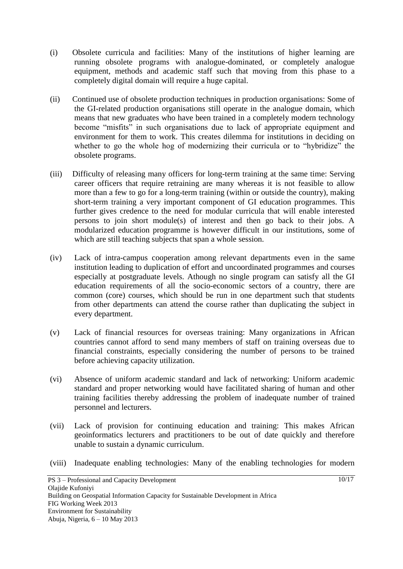- (i) Obsolete curricula and facilities: Many of the institutions of higher learning are running obsolete programs with analogue-dominated, or completely analogue equipment, methods and academic staff such that moving from this phase to a completely digital domain will require a huge capital.
- (ii) Continued use of obsolete production techniques in production organisations: Some of the GI-related production organisations still operate in the analogue domain, which means that new graduates who have been trained in a completely modern technology become "misfits" in such organisations due to lack of appropriate equipment and environment for them to work. This creates dilemma for institutions in deciding on whether to go the whole hog of modernizing their curricula or to "hybridize" the obsolete programs.
- (iii) Difficulty of releasing many officers for long-term training at the same time: Serving career officers that require retraining are many whereas it is not feasible to allow more than a few to go for a long-term training (within or outside the country), making short-term training a very important component of GI education programmes. This further gives credence to the need for modular curricula that will enable interested persons to join short module(s) of interest and then go back to their jobs. A modularized education programme is however difficult in our institutions, some of which are still teaching subjects that span a whole session.
- (iv) Lack of intra-campus cooperation among relevant departments even in the same institution leading to duplication of effort and uncoordinated programmes and courses especially at postgraduate levels. Athough no single program can satisfy all the GI education requirements of all the socio-economic sectors of a country, there are common (core) courses, which should be run in one department such that students from other departments can attend the course rather than duplicating the subject in every department.
- (v) Lack of financial resources for overseas training: Many organizations in African countries cannot afford to send many members of staff on training overseas due to financial constraints, especially considering the number of persons to be trained before achieving capacity utilization.
- (vi) Absence of uniform academic standard and lack of networking: Uniform academic standard and proper networking would have facilitated sharing of human and other training facilities thereby addressing the problem of inadequate number of trained personnel and lecturers.
- (vii) Lack of provision for continuing education and training: This makes African geoinformatics lecturers and practitioners to be out of date quickly and therefore unable to sustain a dynamic curriculum.
- (viii) Inadequate enabling technologies: Many of the enabling technologies for modern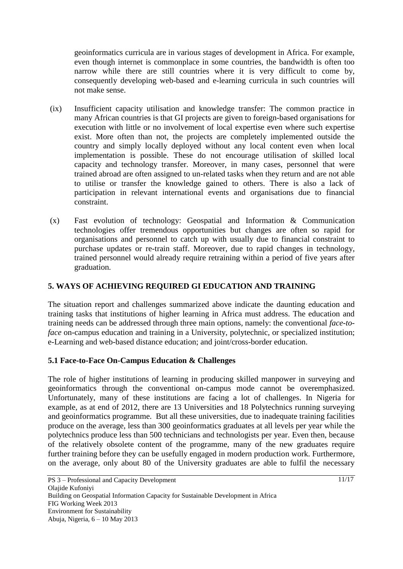geoinformatics curricula are in various stages of development in Africa. For example, even though internet is commonplace in some countries, the bandwidth is often too narrow while there are still countries where it is very difficult to come by, consequently developing web-based and e-learning curricula in such countries will not make sense.

- (ix) Insufficient capacity utilisation and knowledge transfer: The common practice in many African countries is that GI projects are given to foreign-based organisations for execution with little or no involvement of local expertise even where such expertise exist. More often than not, the projects are completely implemented outside the country and simply locally deployed without any local content even when local implementation is possible. These do not encourage utilisation of skilled local capacity and technology transfer. Moreover, in many cases, personnel that were trained abroad are often assigned to un-related tasks when they return and are not able to utilise or transfer the knowledge gained to others. There is also a lack of participation in relevant international events and organisations due to financial constraint.
- (x) Fast evolution of technology: Geospatial and Information & Communication technologies offer tremendous opportunities but changes are often so rapid for organisations and personnel to catch up with usually due to financial constraint to purchase updates or re-train staff. Moreover, due to rapid changes in technology, trained personnel would already require retraining within a period of five years after graduation.

# **5. WAYS OF ACHIEVING REQUIRED GI EDUCATION AND TRAINING**

The situation report and challenges summarized above indicate the daunting education and training tasks that institutions of higher learning in Africa must address. The education and training needs can be addressed through three main options, namely: the conventional *face-toface* on-campus education and training in a University, polytechnic, or specialized institution; e-Learning and web-based distance education; and joint/cross-border education.

### **5.1 Face-to-Face On-Campus Education & Challenges**

The role of higher institutions of learning in producing skilled manpower in surveying and geoinformatics through the conventional on-campus mode cannot be overemphasized. Unfortunately, many of these institutions are facing a lot of challenges. In Nigeria for example, as at end of 2012, there are 13 Universities and 18 Polytechnics running surveying and geoinformatics programme. But all these universities, due to inadequate training facilities produce on the average, less than 300 geoinformatics graduates at all levels per year while the polytechnics produce less than 500 technicians and technologists per year. Even then, because of the relatively obsolete content of the programme, many of the new graduates require further training before they can be usefully engaged in modern production work. Furthermore, on the average, only about 80 of the University graduates are able to fulfil the necessary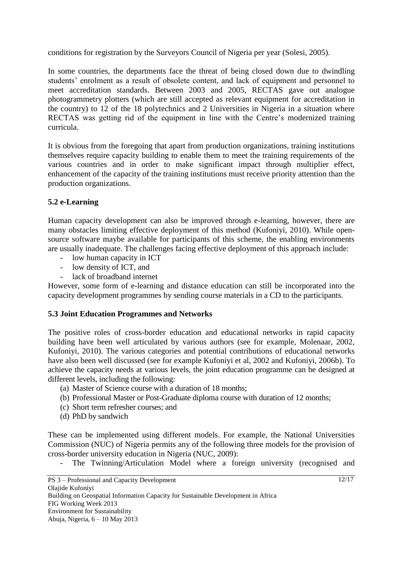conditions for registration by the Surveyors Council of Nigeria per year (Solesi, 2005).

In some countries, the departments face the threat of being closed down due to dwindling students' enrolment as a result of obsolete content, and lack of equipment and personnel to meet accreditation standards. Between 2003 and 2005, RECTAS gave out analogue photogrammetry plotters (which are still accepted as relevant equipment for accreditation in the country) to 12 of the 18 polytechnics and 2 Universities in Nigeria in a situation where RECTAS was getting rid of the equipment in line with the Centre's modernized training curricula.

It is obvious from the foregoing that apart from production organizations, training institutions themselves require capacity building to enable them to meet the training requirements of the various countries and in order to make significant impact through multiplier effect, enhancement of the capacity of the training institutions must receive priority attention than the production organizations.

### **5.2 e-Learning**

Human capacity development can also be improved through e-learning, however, there are many obstacles limiting effective deployment of this method (Kufoniyi, 2010). While opensource software maybe available for participants of this scheme, the enabling environments are usually inadequate. The challenges facing effective deployment of this approach include:

- low human capacity in ICT
- low density of ICT, and
- lack of broadband internet

However, some form of e-learning and distance education can still be incorporated into the capacity development programmes by sending course materials in a CD to the participants.

### **5.3 Joint Education Programmes and Networks**

The positive roles of cross-border education and educational networks in rapid capacity building have been well articulated by various authors (see for example, Molenaar, 2002, Kufoniyi, 2010). The various categories and potential contributions of educational networks have also been well discussed (see for example Kufoniyi et al, 2002 and Kufoniyi, 2006b). To achieve the capacity needs at various levels, the joint education programme can be designed at different levels, including the following:

- (a) Master of Science course with a duration of 18 months;
- (b) Professional Master or Post-Graduate diploma course with duration of 12 months;
- (c) Short term refresher courses; and
- (d) PhD by sandwich

These can be implemented using different models. For example, the National Universities Commission (NUC) of Nigeria permits any of the following three models for the provision of cross-border university education in Nigeria (NUC, 2009):

- The Twinning/Articulation Model where a foreign university (recognised and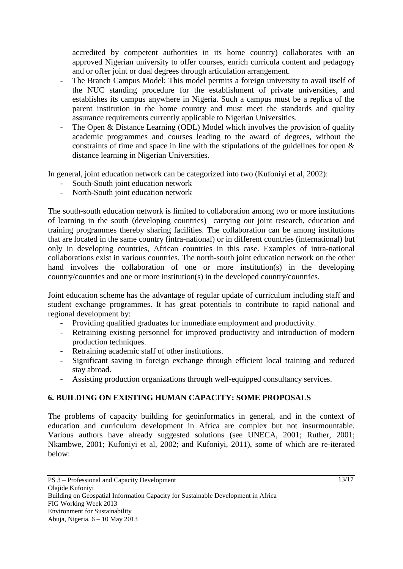accredited by competent authorities in its home country) collaborates with an approved Nigerian university to offer courses, enrich curricula content and pedagogy and or offer joint or dual degrees through articulation arrangement.

- The Branch Campus Model: This model permits a foreign university to avail itself of the NUC standing procedure for the establishment of private universities, and establishes its campus anywhere in Nigeria. Such a campus must be a replica of the parent institution in the home country and must meet the standards and quality assurance requirements currently applicable to Nigerian Universities.
- The Open & Distance Learning (ODL) Model which involves the provision of quality academic programmes and courses leading to the award of degrees, without the constraints of time and space in line with the stipulations of the guidelines for open & distance learning in Nigerian Universities.

In general, joint education network can be categorized into two (Kufoniyi et al, 2002):

- South-South joint education network
- North-South joint education network

The south-south education network is limited to collaboration among two or more institutions of learning in the south (developing countries) carrying out joint research, education and training programmes thereby sharing facilities. The collaboration can be among institutions that are located in the same country (intra-national) or in different countries (international) but only in developing countries, African countries in this case. Examples of intra-national collaborations exist in various countries. The north-south joint education network on the other hand involves the collaboration of one or more institution(s) in the developing country/countries and one or more institution(s) in the developed country/countries.

Joint education scheme has the advantage of regular update of curriculum including staff and student exchange programmes. It has great potentials to contribute to rapid national and regional development by:

- Providing qualified graduates for immediate employment and productivity.
- Retraining existing personnel for improved productivity and introduction of modern production techniques.
- Retraining academic staff of other institutions.
- Significant saving in foreign exchange through efficient local training and reduced stay abroad.
- Assisting production organizations through well-equipped consultancy services.

# **6. BUILDING ON EXISTING HUMAN CAPACITY: SOME PROPOSALS**

The problems of capacity building for geoinformatics in general, and in the context of education and curriculum development in Africa are complex but not insurmountable. Various authors have already suggested solutions (see UNECA, 2001; Ruther, 2001; Nkambwe, 2001; Kufoniyi et al, 2002; and Kufoniyi, 2011), some of which are re-iterated below: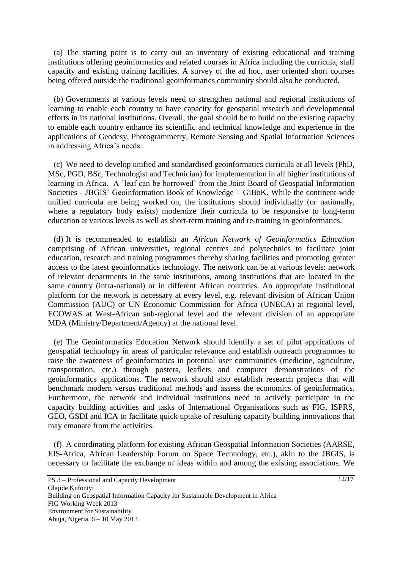(a) The starting point is to carry out an inventory of existing educational and training institutions offering geoinformatics and related courses in Africa including the curricula, staff capacity and existing training facilities. A survey of the ad hoc, user oriented short courses being offered outside the traditional geoinformatics community should also be conducted.

(b) Governments at various levels need to strengthen national and regional institutions of learning to enable each country to have capacity for geospatial research and developmental efforts in its national institutions. Overall, the goal should be to build on the existing capacity to enable each country enhance its scientific and technical knowledge and experience in the applications of Geodesy, Photogrammetry, Remote Sensing and Spatial Information Sciences in addressing Africa's needs.

(c) We need to develop unified and standardised geoinformatics curricula at all levels (PhD, MSc, PGD, BSc, Technologist and Technician) for implementation in all higher institutions of learning in Africa. A 'leaf can be borrowed' from the Joint Board of Geospatial Information Societies - JBGIS' Geoinformation Book of Knowledge – GiBoK. While the continent-wide unified curricula are being worked on, the institutions should individually (or nationally, where a regulatory body exists) modernize their curricula to be responsive to long-term education at various levels as well as short-term training and re-training in geoinformatics.

(d) It is recommended to establish an *African Network of Geoinformatics Education* comprising of African universities, regional centres and polytechnics to facilitate joint education, research and training programmes thereby sharing facilities and promoting greater access to the latest geoinformatics technology. The network can be at various levels: network of relevant departments in the same institutions, among institutions that are located in the same country (intra-national) or in different African countries. An appropriate institutional platform for the network is necessary at every level, e.g. relevant division of African Union Commission (AUC) or UN Economic Commission for Africa (UNECA) at regional level, ECOWAS at West-African sub-regional level and the relevant division of an appropriate MDA (Ministry/Department/Agency) at the national level.

(e) The Geoinformatics Education Network should identify a set of pilot applications of geospatial technology in areas of particular relevance and establish outreach programmes to raise the awareness of geoinformatics in potential user communities (medicine, agriculture, transportation, etc.) through posters, leaflets and computer demonstrations of the geoinformatics applications. The network should also establish research projects that will benchmark modern versus traditional methods and assess the economics of geoinformatics. Furthermore, the network and individual institutions need to actively participate in the capacity building activities and tasks of International Organisations such as FIG, ISPRS, GEO, GSDI and ICA to facilitate quick uptake of resulting capacity building innovations that may emanate from the activities.

(f) A coordinating platform for existing African Geospatial Information Societies (AARSE, EIS-Africa, African Leadership Forum on Space Technology, etc.), akin to the JBGIS, is necessary to facilitate the exchange of ideas within and among the existing associations. We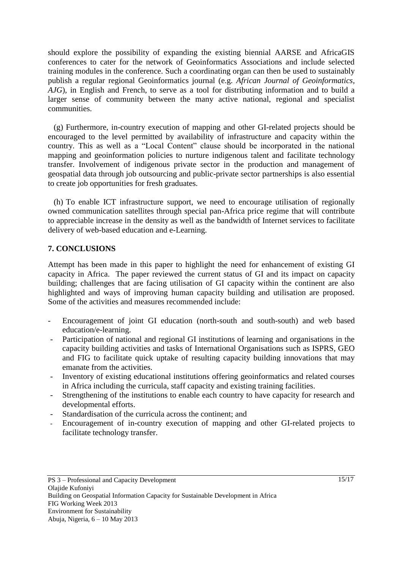should explore the possibility of expanding the existing biennial AARSE and AfricaGIS conferences to cater for the network of Geoinformatics Associations and include selected training modules in the conference. Such a coordinating organ can then be used to sustainably publish a regular regional Geoinformatics journal (e.g. *African Journal of Geoinformatics, AJG*), in English and French, to serve as a tool for distributing information and to build a larger sense of community between the many active national, regional and specialist communities.

(g) Furthermore, in-country execution of mapping and other GI-related projects should be encouraged to the level permitted by availability of infrastructure and capacity within the country. This as well as a "Local Content" clause should be incorporated in the national mapping and geoinformation policies to nurture indigenous talent and facilitate technology transfer. Involvement of indigenous private sector in the production and management of geospatial data through job outsourcing and public-private sector partnerships is also essential to create job opportunities for fresh graduates.

(h) To enable ICT infrastructure support, we need to encourage utilisation of regionally owned communication satellites through special pan-Africa price regime that will contribute to appreciable increase in the density as well as the bandwidth of Internet services to facilitate delivery of web-based education and e-Learning.

### **7. CONCLUSIONS**

Attempt has been made in this paper to highlight the need for enhancement of existing GI capacity in Africa. The paper reviewed the current status of GI and its impact on capacity building; challenges that are facing utilisation of GI capacity within the continent are also highlighted and ways of improving human capacity building and utilisation are proposed. Some of the activities and measures recommended include:

- Encouragement of joint GI education (north-south and south-south) and web based education/e-learning.
- Participation of national and regional GI institutions of learning and organisations in the capacity building activities and tasks of International Organisations such as ISPRS, GEO and FIG to facilitate quick uptake of resulting capacity building innovations that may emanate from the activities.
- Inventory of existing educational institutions offering geoinformatics and related courses in Africa including the curricula, staff capacity and existing training facilities.
- Strengthening of the institutions to enable each country to have capacity for research and developmental efforts.
- Standardisation of the curricula across the continent; and
- Encouragement of in-country execution of mapping and other GI-related projects to facilitate technology transfer.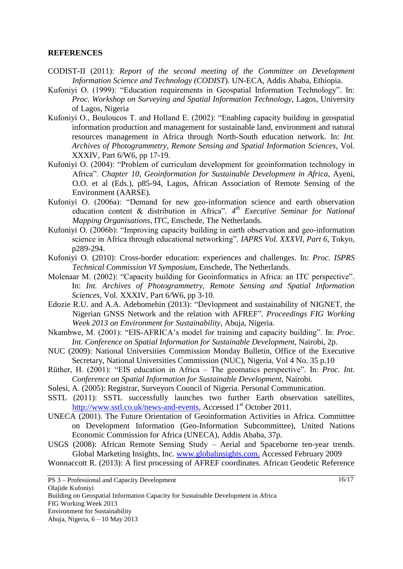#### **REFERENCES**

- CODIST-II (2011): *Report of the second meeting of the Committee on Development Information Science and Technology (CODIST*). UN-ECA, Addis Ababa, Ethiopia.
- Kufoniyi O. (1999): "Education requirements in Geospatial Information Technology". In: *Proc. Workshop on Surveying and Spatial Information Technology,* Lagos, University of Lagos, Nigeria
- Kufoniyi O., Bouloucos T. and Holland E. (2002): "Enabling capacity building in geospatial information production and management for sustainable land, environment and natural resources management in Africa through North-South education network. In: *Int. Archives of Photogrammetry, Remote Sensing and Spatial Information Sciences*, Vol. XXXIV, Part 6/W6, pp 17-19.
- Kufoniyi O. (2004): "Problem of curriculum development for geoinformation technology in Africa". *Chapter 10, Geoinformation for Sustainable Development in Africa,* Ayeni, O.O. et al (Eds.), p85-94, Lagos, African Association of Remote Sensing of the Environment (AARSE).
- Kufoniyi O. (2006a): "Demand for new geo-information science and earth observation education content & distribution in Africa". *4 th Executive Seminar for National Mapping Organisations*, ITC, Enschede, The Netherlands.
- Kufoniyi O. (2006b): "Improving capacity building in earth observation and geo-information science in Africa through educational networking". *IAPRS Vol. XXXVI, Part 6*, Tokyo, p289-294.
- Kufoniyi O. (2010): Cross-border education: experiences and challenges. In: *Proc. ISPRS Technical Commission VI Symposium*, Enschede, The Netherlands.
- Molenaar M. (2002): "Capacity building for Geoinformatics in Africa: an ITC perspective". In: *Int. Archives of Photogrammetry, Remote Sensing and Spatial Information Sciences*, Vol. XXXIV, Part 6/W6, pp 3-10.
- Edozie R.U. and A.A. Adebomehin (2013): "Devlopment and sustainability of NIGNET, the Nigerian GNSS Network and the relation with AFREF". *Proceedings FIG Working Week 2013 on Environment for Sustainability*, Abuja, Nigeria.
- Nkambwe, M. (2001): "EIS-AFRICA's model for training and capacity building". In: *Proc. Int. Conference on Spatial Information for Sustainable Development*, Nairobi, 2p.
- NUC (2009): National Universities Commission Monday Bulletin, Office of the Executive Secretary, National Universities Commission (NUC), Nigeria, Vol 4 No. 35 p.10
- Rüther, H. (2001): "EIS education in Africa The geomatics perspective". In: *Proc. Int. Conference on Spatial Information for Sustainable Development*, Nairobi.
- Solesi, A. (2005): Registrar, Surveyors Council of Nigeria. Personal Communication.
- SSTL (2011): SSTL successfully launches two further Earth observation satellites, [http://www.sstl.co.uk/news-and-events,](http://www.sstl.co.uk/news-and-events) Accessed 1<sup>st</sup> October 2011.
- UNECA (2001). The Future Orientation of Geoinformation Activities in Africa. Committee on Development Information (Geo-Information Subcommittee), United Nations Economic Commission for Africa (UNECA), Addis Ababa, 37p.
- USGS (2008): African Remote Sensing Study Aerial and Spaceborne ten-year trends. Global Marketing Insights, Inc. [www.globalinsights.com,](http://www.globalinsights.com/) Accessed February 2009

Wonnaccott R. (2013): A first processing of AFREF coordinates. African Geodetic Reference